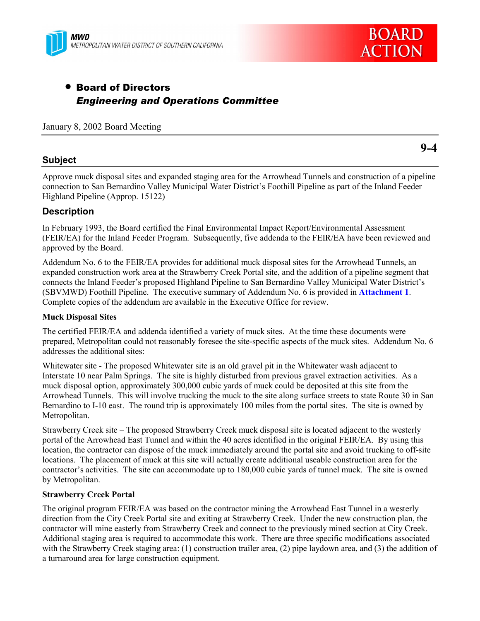



# • Board of Directors *Engineering and Operations Committee*

January 8, 2002 Board Meeting

### **Subject**

**9-4**

Approve muck disposal sites and expanded staging area for the Arrowhead Tunnels and construction of a pipeline connection to San Bernardino Valley Municipal Water Districtís Foothill Pipeline as part of the Inland Feeder Highland Pipeline (Approp. 15122)

### **Description**

In February 1993, the Board certified the Final Environmental Impact Report/Environmental Assessment (FEIR/EA) for the Inland Feeder Program. Subsequently, five addenda to the FEIR/EA have been reviewed and approved by the Board.

Addendum No. 6 to the FEIR/EA provides for additional muck disposal sites for the Arrowhead Tunnels, an expanded construction work area at the Strawberry Creek Portal site, and the addition of a pipeline segment that connects the Inland Feeder's proposed Highland Pipeline to San Bernardino Valley Municipal Water District's (SBVMWD) Foothill Pipeline. The executive summary of Addendum No. 6 is provided in **Attachment 1**. Complete copies of the addendum are available in the Executive Office for review.

#### **Muck Disposal Sites**

The certified FEIR/EA and addenda identified a variety of muck sites. At the time these documents were prepared, Metropolitan could not reasonably foresee the site-specific aspects of the muck sites. Addendum No. 6 addresses the additional sites:

Whitewater site - The proposed Whitewater site is an old gravel pit in the Whitewater wash adjacent to Interstate 10 near Palm Springs. The site is highly disturbed from previous gravel extraction activities. As a muck disposal option, approximately 300,000 cubic yards of muck could be deposited at this site from the Arrowhead Tunnels. This will involve trucking the muck to the site along surface streets to state Route 30 in San Bernardino to I-10 east. The round trip is approximately 100 miles from the portal sites. The site is owned by Metropolitan.

Strawberry Creek site – The proposed Strawberry Creek muck disposal site is located adjacent to the westerly portal of the Arrowhead East Tunnel and within the 40 acres identified in the original FEIR/EA. By using this location, the contractor can dispose of the muck immediately around the portal site and avoid trucking to off-site locations. The placement of muck at this site will actually create additional useable construction area for the contractor's activities. The site can accommodate up to 180,000 cubic yards of tunnel muck. The site is owned by Metropolitan.

### **Strawberry Creek Portal**

The original program FEIR/EA was based on the contractor mining the Arrowhead East Tunnel in a westerly direction from the City Creek Portal site and exiting at Strawberry Creek. Under the new construction plan, the contractor will mine easterly from Strawberry Creek and connect to the previously mined section at City Creek. Additional staging area is required to accommodate this work. There are three specific modifications associated with the Strawberry Creek staging area: (1) construction trailer area, (2) pipe laydown area, and (3) the addition of a turnaround area for large construction equipment.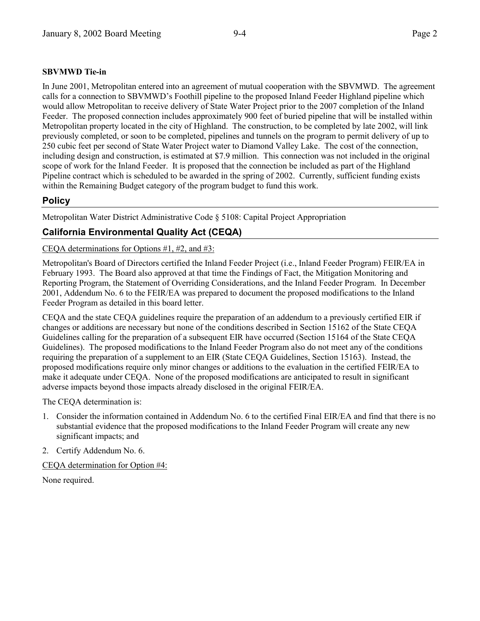### **SBVMWD Tie-in**

In June 2001, Metropolitan entered into an agreement of mutual cooperation with the SBVMWD. The agreement calls for a connection to SBVMWD's Foothill pipeline to the proposed Inland Feeder Highland pipeline which would allow Metropolitan to receive delivery of State Water Project prior to the 2007 completion of the Inland Feeder. The proposed connection includes approximately 900 feet of buried pipeline that will be installed within Metropolitan property located in the city of Highland. The construction, to be completed by late 2002, will link previously completed, or soon to be completed, pipelines and tunnels on the program to permit delivery of up to 250 cubic feet per second of State Water Project water to Diamond Valley Lake. The cost of the connection, including design and construction, is estimated at \$7.9 million. This connection was not included in the original scope of work for the Inland Feeder. It is proposed that the connection be included as part of the Highland Pipeline contract which is scheduled to be awarded in the spring of 2002. Currently, sufficient funding exists within the Remaining Budget category of the program budget to fund this work.

## **Policy**

Metropolitan Water District Administrative Code ß 5108: Capital Project Appropriation

## **California Environmental Quality Act (CEQA)**

CEQA determinations for Options #1, #2, and #3:

Metropolitan's Board of Directors certified the Inland Feeder Project (i.e., Inland Feeder Program) FEIR/EA in February 1993. The Board also approved at that time the Findings of Fact, the Mitigation Monitoring and Reporting Program, the Statement of Overriding Considerations, and the Inland Feeder Program. In December 2001, Addendum No. 6 to the FEIR/EA was prepared to document the proposed modifications to the Inland Feeder Program as detailed in this board letter.

CEQA and the state CEQA guidelines require the preparation of an addendum to a previously certified EIR if changes or additions are necessary but none of the conditions described in Section 15162 of the State CEQA Guidelines calling for the preparation of a subsequent EIR have occurred (Section 15164 of the State CEQA Guidelines). The proposed modifications to the Inland Feeder Program also do not meet any of the conditions requiring the preparation of a supplement to an EIR (State CEQA Guidelines, Section 15163). Instead, the proposed modifications require only minor changes or additions to the evaluation in the certified FEIR/EA to make it adequate under CEQA. None of the proposed modifications are anticipated to result in significant adverse impacts beyond those impacts already disclosed in the original FEIR/EA.

The CEQA determination is:

- 1. Consider the information contained in Addendum No. 6 to the certified Final EIR/EA and find that there is no substantial evidence that the proposed modifications to the Inland Feeder Program will create any new significant impacts; and
- 2. Certify Addendum No. 6.

CEQA determination for Option #4:

None required.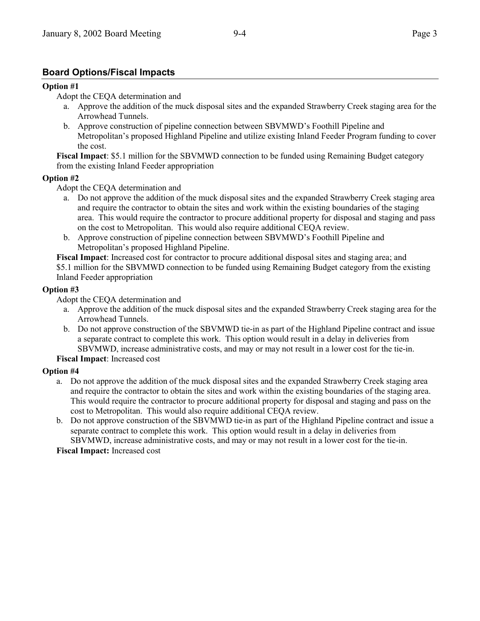# **Board Options/Fiscal Impacts**

### **Option #1**

Adopt the CEQA determination and

- a. Approve the addition of the muck disposal sites and the expanded Strawberry Creek staging area for the Arrowhead Tunnels.
- b. Approve construction of pipeline connection between SBVMWD's Foothill Pipeline and Metropolitanís proposed Highland Pipeline and utilize existing Inland Feeder Program funding to cover the cost.

**Fiscal Impact**: \$5.1 million for the SBVMWD connection to be funded using Remaining Budget category from the existing Inland Feeder appropriation

#### **Option #2**

Adopt the CEQA determination and

- a. Do not approve the addition of the muck disposal sites and the expanded Strawberry Creek staging area and require the contractor to obtain the sites and work within the existing boundaries of the staging area. This would require the contractor to procure additional property for disposal and staging and pass on the cost to Metropolitan. This would also require additional CEQA review.
- b. Approve construction of pipeline connection between SBVMWD's Foothill Pipeline and Metropolitan's proposed Highland Pipeline.

**Fiscal Impact**: Increased cost for contractor to procure additional disposal sites and staging area; and \$5.1 million for the SBVMWD connection to be funded using Remaining Budget category from the existing Inland Feeder appropriation

### **Option #3**

Adopt the CEQA determination and

- a. Approve the addition of the muck disposal sites and the expanded Strawberry Creek staging area for the Arrowhead Tunnels.
- b. Do not approve construction of the SBVMWD tie-in as part of the Highland Pipeline contract and issue a separate contract to complete this work. This option would result in a delay in deliveries from SBVMWD, increase administrative costs, and may or may not result in a lower cost for the tie-in.

**Fiscal Impact**: Increased cost

### **Option #4**

- a. Do not approve the addition of the muck disposal sites and the expanded Strawberry Creek staging area and require the contractor to obtain the sites and work within the existing boundaries of the staging area. This would require the contractor to procure additional property for disposal and staging and pass on the cost to Metropolitan. This would also require additional CEQA review.
- b. Do not approve construction of the SBVMWD tie-in as part of the Highland Pipeline contract and issue a separate contract to complete this work. This option would result in a delay in deliveries from SBVMWD, increase administrative costs, and may or may not result in a lower cost for the tie-in.

**Fiscal Impact:** Increased cost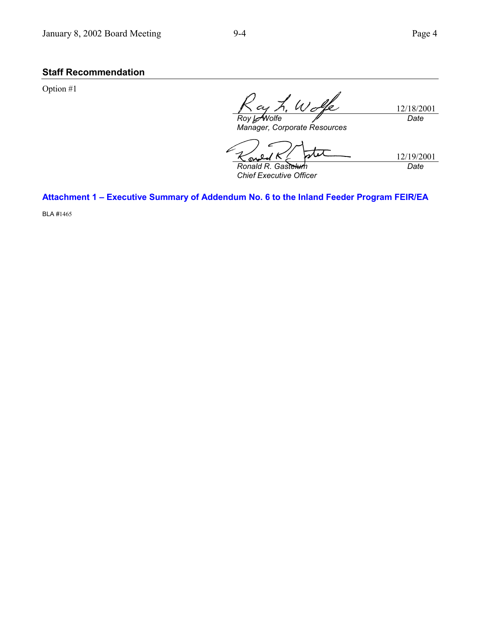# **Staff Recommendation**

Option #1

 $\not\vdash \omega$ 12/18/2001 *Roy L. Wolfe Date*

*Manager, Corporate Resources*

 $\overline{\boldsymbol{\nu}}$ 12/19/2001 <u>مىي</u> *Ronald R. Gastelum Date*

*Chief Executive Officer*

Attachment 1 - Executive Summary of Addendum No. 6 to the Inland Feeder Program FEIR/EA

BLA #1465